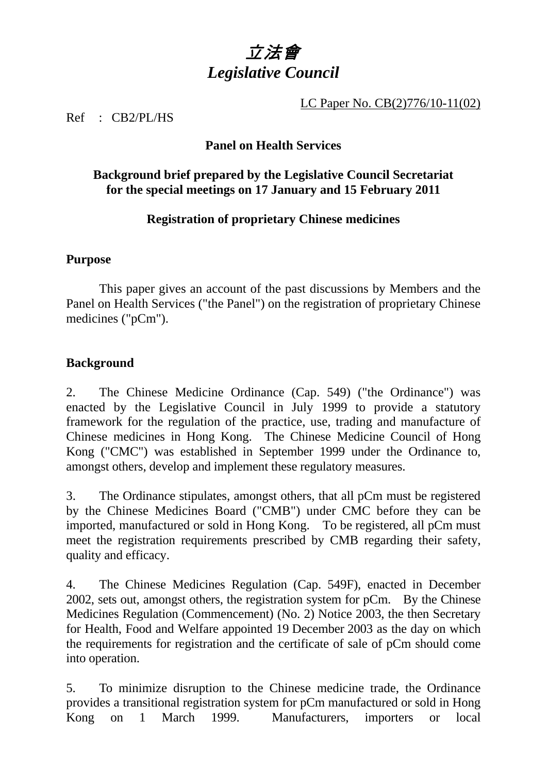# 立法會 *Legislative Council*

LC Paper No. CB(2)776/10-11(02)

Ref : CB2/PL/HS

## **Panel on Health Services**

## **Background brief prepared by the Legislative Council Secretariat for the special meetings on 17 January and 15 February 2011**

## **Registration of proprietary Chinese medicines**

#### **Purpose**

This paper gives an account of the past discussions by Members and the Panel on Health Services ("the Panel") on the registration of proprietary Chinese medicines ("pCm").

#### **Background**

2. The Chinese Medicine Ordinance (Cap. 549) ("the Ordinance") was enacted by the Legislative Council in July 1999 to provide a statutory framework for the regulation of the practice, use, trading and manufacture of Chinese medicines in Hong Kong. The Chinese Medicine Council of Hong Kong ("CMC") was established in September 1999 under the Ordinance to, amongst others, develop and implement these regulatory measures.

3. The Ordinance stipulates, amongst others, that all pCm must be registered by the Chinese Medicines Board ("CMB") under CMC before they can be imported, manufactured or sold in Hong Kong. To be registered, all pCm must meet the registration requirements prescribed by CMB regarding their safety, quality and efficacy.

4. The Chinese Medicines Regulation (Cap. 549F), enacted in December 2002, sets out, amongst others, the registration system for pCm. By the Chinese Medicines Regulation (Commencement) (No. 2) Notice 2003, the then Secretary for Health, Food and Welfare appointed 19 December 2003 as the day on which the requirements for registration and the certificate of sale of pCm should come into operation.

5. To minimize disruption to the Chinese medicine trade, the Ordinance provides a transitional registration system for pCm manufactured or sold in Hong Kong on 1 March 1999. Manufacturers, importers or local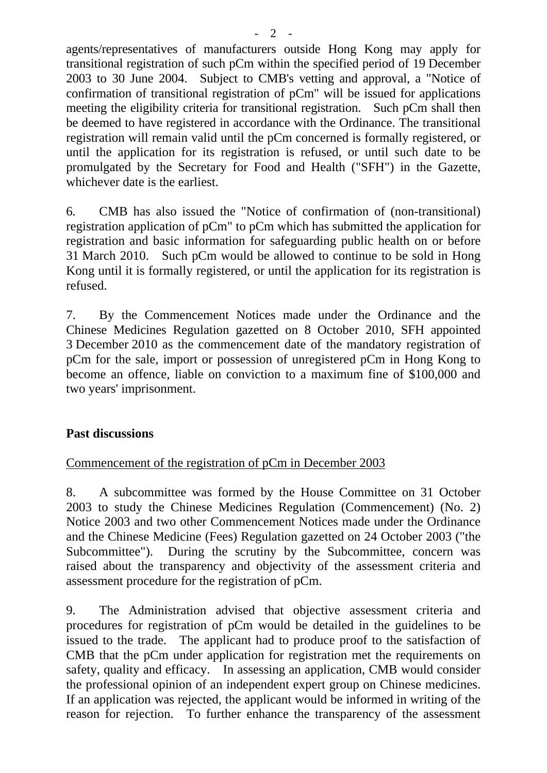agents/representatives of manufacturers outside Hong Kong may apply for transitional registration of such pCm within the specified period of 19 December 2003 to 30 June 2004. Subject to CMB's vetting and approval, a "Notice of confirmation of transitional registration of pCm" will be issued for applications meeting the eligibility criteria for transitional registration. Such pCm shall then be deemed to have registered in accordance with the Ordinance. The transitional registration will remain valid until the pCm concerned is formally registered, or until the application for its registration is refused, or until such date to be promulgated by the Secretary for Food and Health ("SFH") in the Gazette, whichever date is the earliest.

6. CMB has also issued the "Notice of confirmation of (non-transitional) registration application of pCm" to pCm which has submitted the application for registration and basic information for safeguarding public health on or before 31 March 2010. Such pCm would be allowed to continue to be sold in Hong Kong until it is formally registered, or until the application for its registration is refused.

7. By the Commencement Notices made under the Ordinance and the Chinese Medicines Regulation gazetted on 8 October 2010, SFH appointed 3 December 2010 as the commencement date of the mandatory registration of pCm for the sale, import or possession of unregistered pCm in Hong Kong to become an offence, liable on conviction to a maximum fine of \$100,000 and two years' imprisonment.

#### **Past discussions**

#### Commencement of the registration of pCm in December 2003

8. A subcommittee was formed by the House Committee on 31 October 2003 to study the Chinese Medicines Regulation (Commencement) (No. 2) Notice 2003 and two other Commencement Notices made under the Ordinance and the Chinese Medicine (Fees) Regulation gazetted on 24 October 2003 ("the Subcommittee"). During the scrutiny by the Subcommittee, concern was raised about the transparency and objectivity of the assessment criteria and assessment procedure for the registration of pCm.

9. The Administration advised that objective assessment criteria and procedures for registration of pCm would be detailed in the guidelines to be issued to the trade. The applicant had to produce proof to the satisfaction of CMB that the pCm under application for registration met the requirements on safety, quality and efficacy. In assessing an application, CMB would consider the professional opinion of an independent expert group on Chinese medicines. If an application was rejected, the applicant would be informed in writing of the reason for rejection. To further enhance the transparency of the assessment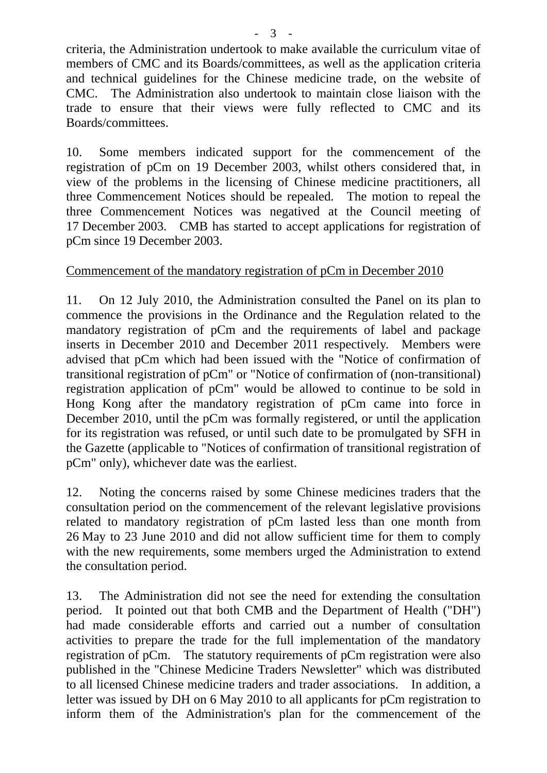criteria, the Administration undertook to make available the curriculum vitae of members of CMC and its Boards/committees, as well as the application criteria and technical guidelines for the Chinese medicine trade, on the website of CMC. The Administration also undertook to maintain close liaison with the trade to ensure that their views were fully reflected to CMC and its Boards/committees.

10. Some members indicated support for the commencement of the registration of pCm on 19 December 2003, whilst others considered that, in view of the problems in the licensing of Chinese medicine practitioners, all three Commencement Notices should be repealed. The motion to repeal the three Commencement Notices was negatived at the Council meeting of 17 December 2003. CMB has started to accept applications for registration of pCm since 19 December 2003.

#### Commencement of the mandatory registration of pCm in December 2010

11. On 12 July 2010, the Administration consulted the Panel on its plan to commence the provisions in the Ordinance and the Regulation related to the mandatory registration of pCm and the requirements of label and package inserts in December 2010 and December 2011 respectively. Members were advised that pCm which had been issued with the "Notice of confirmation of transitional registration of pCm" or "Notice of confirmation of (non-transitional) registration application of pCm" would be allowed to continue to be sold in Hong Kong after the mandatory registration of pCm came into force in December 2010, until the pCm was formally registered, or until the application for its registration was refused, or until such date to be promulgated by SFH in the Gazette (applicable to "Notices of confirmation of transitional registration of pCm" only), whichever date was the earliest.

12. Noting the concerns raised by some Chinese medicines traders that the consultation period on the commencement of the relevant legislative provisions related to mandatory registration of pCm lasted less than one month from 26 May to 23 June 2010 and did not allow sufficient time for them to comply with the new requirements, some members urged the Administration to extend the consultation period.

13. The Administration did not see the need for extending the consultation period. It pointed out that both CMB and the Department of Health ("DH") had made considerable efforts and carried out a number of consultation activities to prepare the trade for the full implementation of the mandatory registration of pCm. The statutory requirements of pCm registration were also published in the "Chinese Medicine Traders Newsletter" which was distributed to all licensed Chinese medicine traders and trader associations. In addition, a letter was issued by DH on 6 May 2010 to all applicants for pCm registration to inform them of the Administration's plan for the commencement of the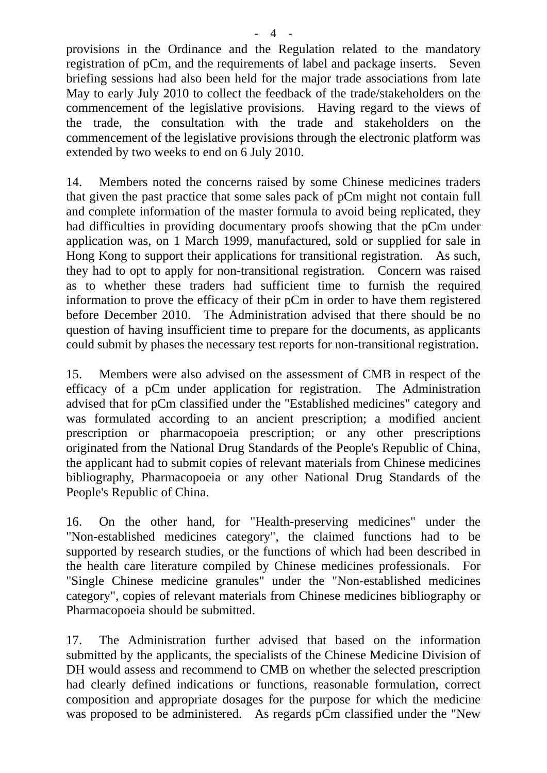provisions in the Ordinance and the Regulation related to the mandatory registration of pCm, and the requirements of label and package inserts. Seven briefing sessions had also been held for the major trade associations from late May to early July 2010 to collect the feedback of the trade/stakeholders on the commencement of the legislative provisions. Having regard to the views of the trade, the consultation with the trade and stakeholders on the commencement of the legislative provisions through the electronic platform was extended by two weeks to end on 6 July 2010.

14. Members noted the concerns raised by some Chinese medicines traders that given the past practice that some sales pack of pCm might not contain full and complete information of the master formula to avoid being replicated, they had difficulties in providing documentary proofs showing that the pCm under application was, on 1 March 1999, manufactured, sold or supplied for sale in Hong Kong to support their applications for transitional registration. As such, they had to opt to apply for non-transitional registration. Concern was raised as to whether these traders had sufficient time to furnish the required information to prove the efficacy of their pCm in order to have them registered before December 2010. The Administration advised that there should be no question of having insufficient time to prepare for the documents, as applicants could submit by phases the necessary test reports for non-transitional registration.

15. Members were also advised on the assessment of CMB in respect of the efficacy of a pCm under application for registration. The Administration advised that for pCm classified under the "Established medicines" category and was formulated according to an ancient prescription; a modified ancient prescription or pharmacopoeia prescription; or any other prescriptions originated from the National Drug Standards of the People's Republic of China, the applicant had to submit copies of relevant materials from Chinese medicines bibliography, Pharmacopoeia or any other National Drug Standards of the People's Republic of China.

16. On the other hand, for "Health-preserving medicines" under the "Non-established medicines category", the claimed functions had to be supported by research studies, or the functions of which had been described in the health care literature compiled by Chinese medicines professionals. For "Single Chinese medicine granules" under the "Non-established medicines category", copies of relevant materials from Chinese medicines bibliography or Pharmacopoeia should be submitted.

17. The Administration further advised that based on the information submitted by the applicants, the specialists of the Chinese Medicine Division of DH would assess and recommend to CMB on whether the selected prescription had clearly defined indications or functions, reasonable formulation, correct composition and appropriate dosages for the purpose for which the medicine was proposed to be administered. As regards pCm classified under the "New